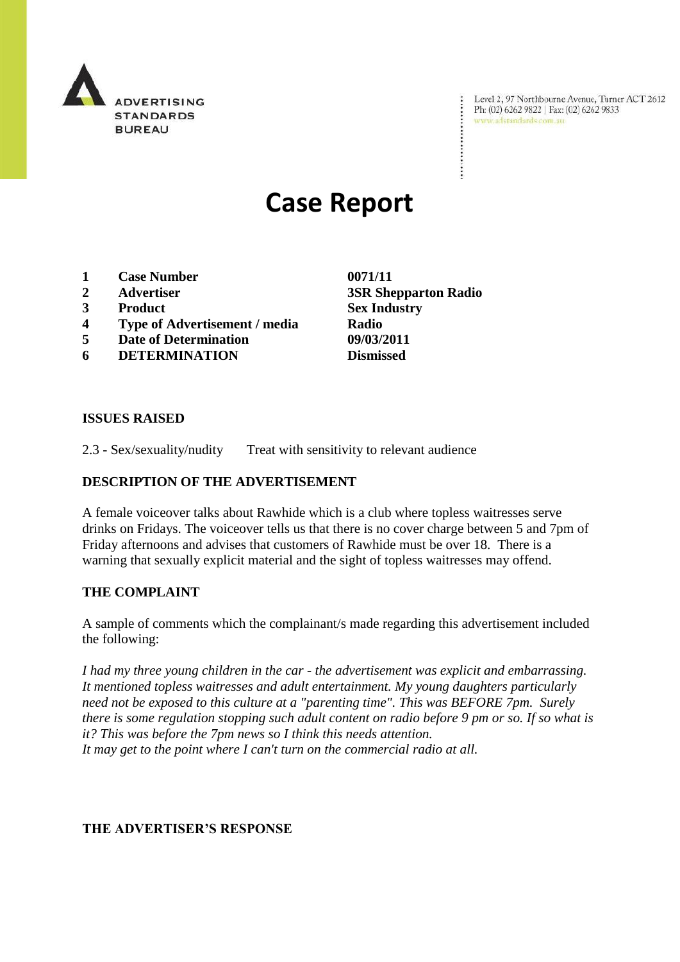

Level 2, 97 Northbourne Avenue, Turner ACT 2612<br>Ph: (02) 6262 9822 | Fax: (02) 6262 9833<br>www.adstandards.com.au

# **Case Report**

- **1 Case Number 0071/11**
- 
- **3 Product Sex Industry**
- **4 Type of Advertisement / media Radio**
- **5 Date of Determination 09/03/2011**
- **6 DETERMINATION Dismissed**

**2 Advertiser 3SR Shepparton Radio**

### **ISSUES RAISED**

2.3 - Sex/sexuality/nudity Treat with sensitivity to relevant audience

#### **DESCRIPTION OF THE ADVERTISEMENT**

A female voiceover talks about Rawhide which is a club where topless waitresses serve drinks on Fridays. The voiceover tells us that there is no cover charge between 5 and 7pm of Friday afternoons and advises that customers of Rawhide must be over 18. There is a warning that sexually explicit material and the sight of topless waitresses may offend.

### **THE COMPLAINT**

A sample of comments which the complainant/s made regarding this advertisement included the following:

*I had my three young children in the car - the advertisement was explicit and embarrassing. It mentioned topless waitresses and adult entertainment. My young daughters particularly need not be exposed to this culture at a "parenting time". This was BEFORE 7pm. Surely there is some regulation stopping such adult content on radio before 9 pm or so. If so what is it? This was before the 7pm news so I think this needs attention. It may get to the point where I can't turn on the commercial radio at all.*

#### **THE ADVERTISER'S RESPONSE**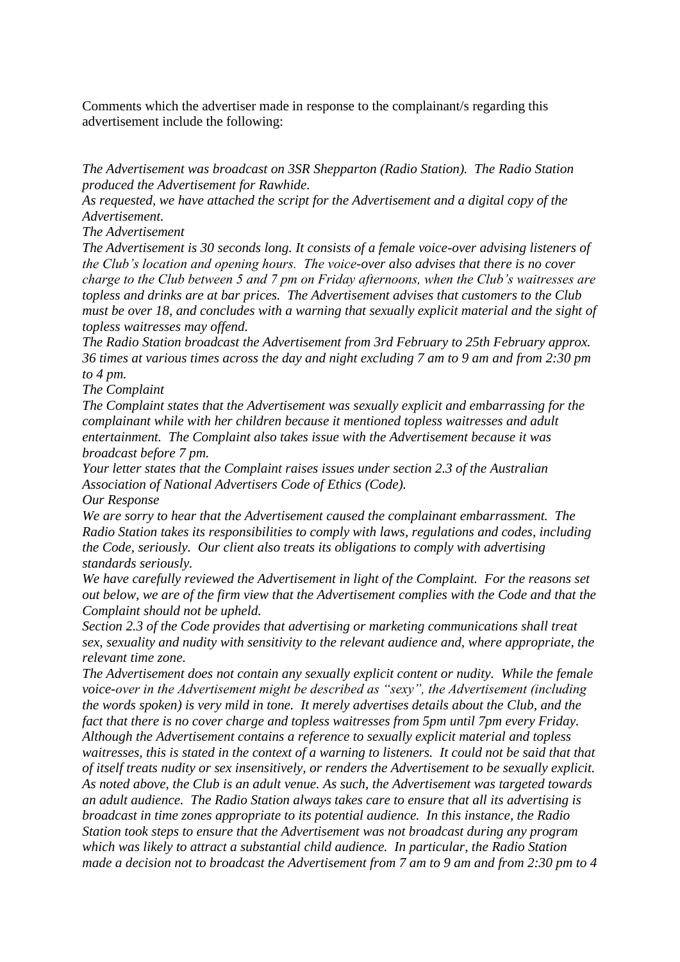Comments which the advertiser made in response to the complainant/s regarding this advertisement include the following:

*The Advertisement was broadcast on 3SR Shepparton (Radio Station). The Radio Station produced the Advertisement for Rawhide.* 

*As requested, we have attached the script for the Advertisement and a digital copy of the Advertisement.*

*The Advertisement*

*The Advertisement is 30 seconds long. It consists of a female voice-over advising listeners of the Club's location and opening hours. The voice-over also advises that there is no cover charge to the Club between 5 and 7 pm on Friday afternoons, when the Club's waitresses are topless and drinks are at bar prices. The Advertisement advises that customers to the Club must be over 18, and concludes with a warning that sexually explicit material and the sight of topless waitresses may offend.*

*The Radio Station broadcast the Advertisement from 3rd February to 25th February approx. 36 times at various times across the day and night excluding 7 am to 9 am and from 2:30 pm to 4 pm.*

*The Complaint*

*The Complaint states that the Advertisement was sexually explicit and embarrassing for the complainant while with her children because it mentioned topless waitresses and adult entertainment. The Complaint also takes issue with the Advertisement because it was broadcast before 7 pm.*

*Your letter states that the Complaint raises issues under section 2.3 of the Australian Association of National Advertisers Code of Ethics (Code).* 

*Our Response*

*We are sorry to hear that the Advertisement caused the complainant embarrassment. The Radio Station takes its responsibilities to comply with laws, regulations and codes, including the Code, seriously. Our client also treats its obligations to comply with advertising standards seriously.* 

*We have carefully reviewed the Advertisement in light of the Complaint. For the reasons set out below, we are of the firm view that the Advertisement complies with the Code and that the Complaint should not be upheld.*

*Section 2.3 of the Code provides that advertising or marketing communications shall treat sex, sexuality and nudity with sensitivity to the relevant audience and, where appropriate, the relevant time zone.*

*The Advertisement does not contain any sexually explicit content or nudity. While the female voice-over in the Advertisement might be described as "sexy", the Advertisement (including the words spoken) is very mild in tone. It merely advertises details about the Club, and the fact that there is no cover charge and topless waitresses from 5pm until 7pm every Friday. Although the Advertisement contains a reference to sexually explicit material and topless waitresses, this is stated in the context of a warning to listeners. It could not be said that that of itself treats nudity or sex insensitively, or renders the Advertisement to be sexually explicit. As noted above, the Club is an adult venue. As such, the Advertisement was targeted towards an adult audience. The Radio Station always takes care to ensure that all its advertising is broadcast in time zones appropriate to its potential audience. In this instance, the Radio Station took steps to ensure that the Advertisement was not broadcast during any program which was likely to attract a substantial child audience. In particular, the Radio Station made a decision not to broadcast the Advertisement from 7 am to 9 am and from 2:30 pm to 4*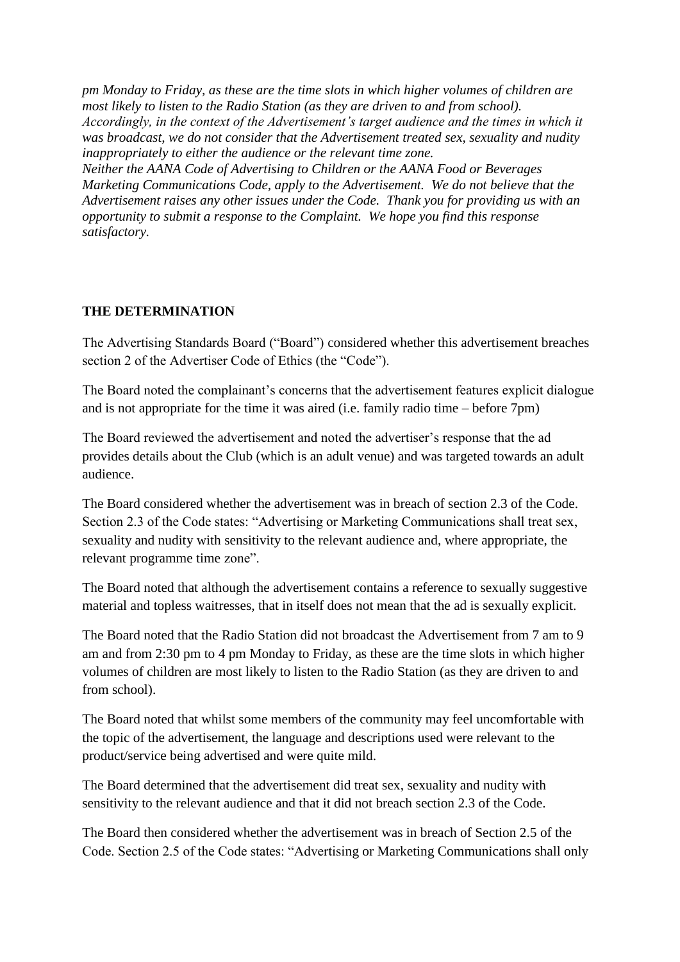*pm Monday to Friday, as these are the time slots in which higher volumes of children are most likely to listen to the Radio Station (as they are driven to and from school). Accordingly, in the context of the Advertisement's target audience and the times in which it was broadcast, we do not consider that the Advertisement treated sex, sexuality and nudity inappropriately to either the audience or the relevant time zone.*

*Neither the AANA Code of Advertising to Children or the AANA Food or Beverages Marketing Communications Code, apply to the Advertisement. We do not believe that the Advertisement raises any other issues under the Code. Thank you for providing us with an opportunity to submit a response to the Complaint. We hope you find this response satisfactory.* 

## **THE DETERMINATION**

The Advertising Standards Board ("Board") considered whether this advertisement breaches section 2 of the Advertiser Code of Ethics (the "Code").

The Board noted the complainant's concerns that the advertisement features explicit dialogue and is not appropriate for the time it was aired (i.e. family radio time – before 7pm)

The Board reviewed the advertisement and noted the advertiser's response that the ad provides details about the Club (which is an adult venue) and was targeted towards an adult audience.

The Board considered whether the advertisement was in breach of section 2.3 of the Code. Section 2.3 of the Code states: "Advertising or Marketing Communications shall treat sex, sexuality and nudity with sensitivity to the relevant audience and, where appropriate, the relevant programme time zone".

The Board noted that although the advertisement contains a reference to sexually suggestive material and topless waitresses, that in itself does not mean that the ad is sexually explicit.

The Board noted that the Radio Station did not broadcast the Advertisement from 7 am to 9 am and from 2:30 pm to 4 pm Monday to Friday, as these are the time slots in which higher volumes of children are most likely to listen to the Radio Station (as they are driven to and from school).

The Board noted that whilst some members of the community may feel uncomfortable with the topic of the advertisement, the language and descriptions used were relevant to the product/service being advertised and were quite mild.

The Board determined that the advertisement did treat sex, sexuality and nudity with sensitivity to the relevant audience and that it did not breach section 2.3 of the Code.

The Board then considered whether the advertisement was in breach of Section 2.5 of the Code. Section 2.5 of the Code states: "Advertising or Marketing Communications shall only